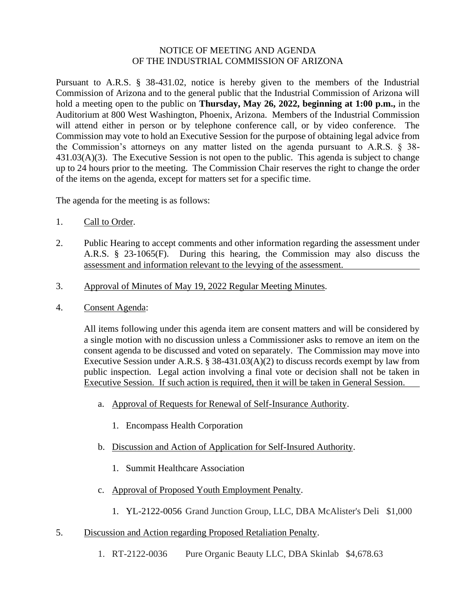## NOTICE OF MEETING AND AGENDA OF THE INDUSTRIAL COMMISSION OF ARIZONA

Pursuant to A.R.S. § 38-431.02, notice is hereby given to the members of the Industrial Commission of Arizona and to the general public that the Industrial Commission of Arizona will hold a meeting open to the public on **Thursday, May 26, 2022, beginning at 1:00 p.m.,** in the Auditorium at 800 West Washington, Phoenix, Arizona. Members of the Industrial Commission will attend either in person or by telephone conference call, or by video conference. The Commission may vote to hold an Executive Session for the purpose of obtaining legal advice from the Commission's attorneys on any matter listed on the agenda pursuant to A.R.S. § 38- 431.03(A)(3). The Executive Session is not open to the public. This agenda is subject to change up to 24 hours prior to the meeting. The Commission Chair reserves the right to change the order of the items on the agenda, except for matters set for a specific time.

The agenda for the meeting is as follows:

- 1. Call to Order.
- 2. Public Hearing to accept comments and other information regarding the assessment under A.R.S. § 23-1065(F). During this hearing, the Commission may also discuss the assessment and information relevant to the levying of the assessment.
- 3. Approval of Minutes of May 19, 2022 Regular Meeting Minutes.
- 4. Consent Agenda:

All items following under this agenda item are consent matters and will be considered by a single motion with no discussion unless a Commissioner asks to remove an item on the consent agenda to be discussed and voted on separately. The Commission may move into Executive Session under A.R.S. § 38-431.03(A)(2) to discuss records exempt by law from public inspection. Legal action involving a final vote or decision shall not be taken in Executive Session. If such action is required, then it will be taken in General Session.

- a. Approval of Requests for Renewal of Self-Insurance Authority.
	- 1. Encompass Health Corporation
- b. Discussion and Action of Application for Self-Insured Authority.
	- 1. Summit Healthcare Association
- c. Approval of Proposed Youth Employment Penalty.
	- 1. YL-2122-0056 Grand Junction Group, LLC, DBA McAlister's Deli \$1,000
- 5. Discussion and Action regarding Proposed Retaliation Penalty.
	- 1. RT-2122-0036 Pure Organic Beauty LLC, DBA Skinlab \$4,678.63